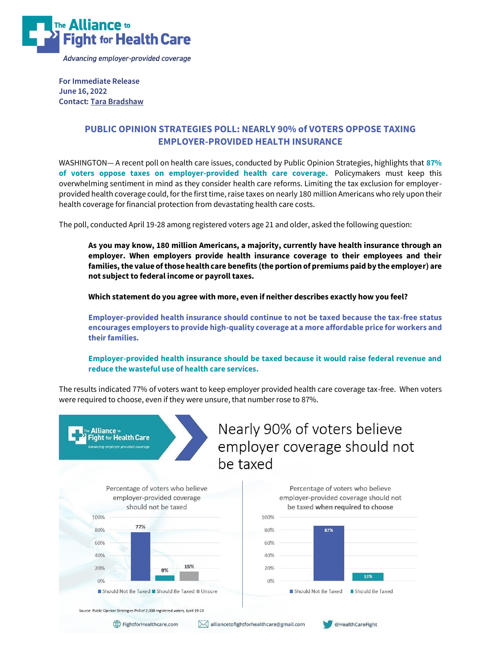

**For Immediate Release June 16, 2022 Contact[: Tara Bradshaw](mailto:alliancetofightforhealthcare@gmail.com)**

## **PUBLIC OPINION STRATEGIES POLL: NEARLY 90% of VOTERS OPPOSE TAXING EMPLOYER-PROVIDED HEALTH INSURANCE**

WASHINGTON— A recent poll on health care issues, conducted by Public Opinion Strategies, highlights that **87% of voters oppose taxes on employer-provided health care coverage.** Policymakers must keep this overwhelming sentiment in mind as they consider health care reforms. Limiting the tax exclusion for employerprovided health coverage could, for the first time, raise taxes on nearly 180 million Americans who rely upon their health coverage for financial protection from devastating health care costs.

The poll, conducted April 19-28 among registered voters age 21 and older, asked the following question:

**As you may know, 180 million Americans, a majority, currently have health insurance through an employer. When employers provide health insurance coverage to their employees and their families, the value of those health care benefits (the portion of premiums paid by the employer) are not subject to federal income or payroll taxes.**

**Which statement do you agree with more, even if neither describes exactly how you feel?** 

**Employer-provided health insurance should continue to not be taxed because the tax-free status encourages employers to provide high-quality coverage at a more affordable price for workers and their families.**

**Employer-provided health insurance should be taxed because it would raise federal revenue and reduce the wasteful use of health care services.**

The results indicated 77% of voters want to keep employer provided health care coverage tax-free. When voters were required to choose, even if they were unsure, that number rose to 87%.